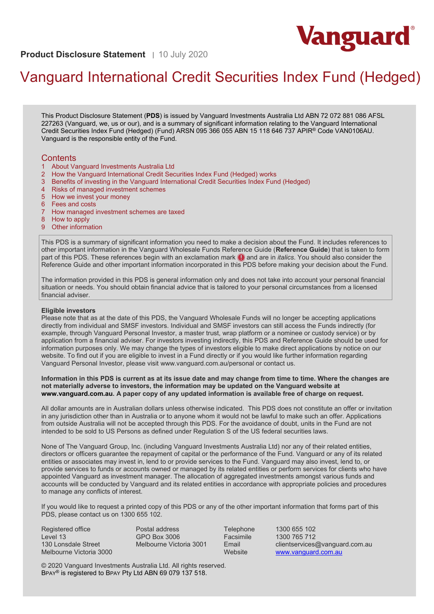

**Product Disclosure Statement** | 10 July 2020

# Vanguard International Credit Securities Index Fund (Hedged)

This Product Disclosure Statement (**PDS**) is issued by Vanguard Investments Australia Ltd ABN 72 072 881 086 AFSL 227263 (Vanguard, we, us or our), and is a summary of significant information relating to the Vanguard International Credit Securities Index Fund (Hedged) (Fund) ARSN 095 366 055 ABN 15 118 646 737 APIR® Code VAN0106AU. Vanguard is the responsible entity of the Fund.

# **Contents**

- 1 About Vanguard Investments Australia Ltd
- 2 How the Vanguard International Credit Securities Index Fund (Hedged) works
- 3 Benefits of investing in the Vanguard International Credit Securities Index Fund (Hedged)
- 4 Risks of managed investment schemes
- 5 How we invest your money
- 6 Fees and costs
- 7 How managed investment schemes are taxed
- 8 How to apply
- 9 Other information

This PDS is a summary of significant information you need to make a decision about the Fund. It includes references to other important information in the Vanguard Wholesale Funds Reference Guide (**Reference Guide**) that is taken to form part of this PDS. These references begin with an exclamation mark  $\bigcirc$  and are in *italics*. You should also consider the Reference Guide and other important information incorporated in this PDS before making your decision about the Fund.

The information provided in this PDS is general information only and does not take into account your personal financial situation or needs. You should obtain financial advice that is tailored to your personal circumstances from a licensed financial adviser.

#### **Eligible investors**

Please note that as at the date of this PDS, the Vanguard Wholesale Funds will no longer be accepting applications directly from individual and SMSF investors. Individual and SMSF investors can still access the Funds indirectly (for example, through Vanguard Personal Investor, a master trust, wrap platform or a nominee or custody service) or by application from a financial adviser. For investors investing indirectly, this PDS and Reference Guide should be used for information purposes only. We may change the types of investors eligible to make direct applications by notice on our website. To find out if you are eligible to invest in a Fund directly or if you would like further information regarding Vanguard Personal Investor, please visit www.vanguard.com.au/personal or contact us.

#### **Information in this PDS is current as at its issue date and may change from time to time. Where the changes are not materially adverse to investors, the information may be updated on the Vanguard website at [www.vanguard.com.au.](http://www.vanguard.com.au/) A paper copy of any updated information is available free of charge on request.**

All dollar amounts are in Australian dollars unless otherwise indicated. This PDS does not constitute an offer or invitation in any jurisdiction other than in Australia or to anyone whom it would not be lawful to make such an offer. Applications from outside Australia will not be accepted through this PDS. For the avoidance of doubt, units in the Fund are not intended to be sold to US Persons as defined under Regulation S of the US federal securities laws.

None of The Vanguard Group, Inc. (including Vanguard Investments Australia Ltd) nor any of their related entities, directors or officers guarantee the repayment of capital or the performance of the Fund. Vanguard or any of its related entities or associates may invest in, lend to or provide services to the Fund. Vanguard may also invest, lend to, or provide services to funds or accounts owned or managed by its related entities or perform services for clients who have appointed Vanguard as investment manager. The allocation of aggregated investments amongst various funds and accounts will be conducted by Vanguard and its related entities in accordance with appropriate policies and procedures to manage any conflicts of interest.

If you would like to request a printed copy of this PDS or any of the other important information that forms part of this PDS, please contact us on 1300 655 102.

Registered office Level 13 130 Lonsdale Street Melbourne Victoria 3000 Postal address GPO Box 3006 Melbourne Victoria 3001

Telephone 1300 655 102<br>
Facsimile 1300 765 712 Facsimile 1300 765 712<br>Email clientservices clientservices@vanguard.com.au Website [www.vanguard.com.au](http://www.vanguard.com.au/)

© 2020 Vanguard Investments Australia Ltd. All rights reserved. BPAY® is registered to BPAY Pty Ltd ABN 69 079 137 518.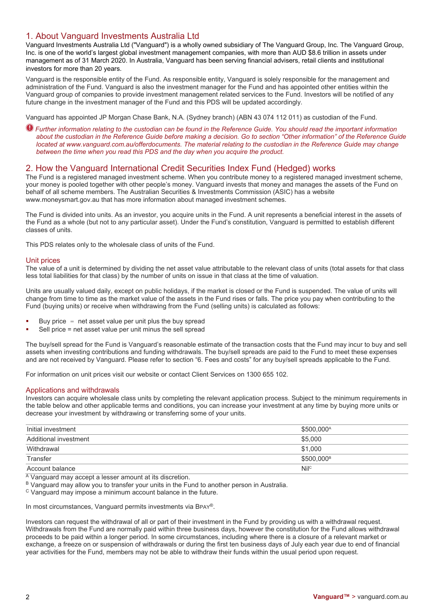# 1. About Vanguard Investments Australia Ltd

Vanguard Investments Australia Ltd ("Vanguard") is a wholly owned subsidiary of The Vanguard Group, Inc. The Vanguard Group, Inc. is one of the world's largest global investment management companies, with more than AUD \$8.6 trillion in assets under management as of 31 March 2020. In Australia, Vanguard has been serving financial advisers, retail clients and institutional investors for more than 20 years.

Vanguard is the responsible entity of the Fund. As responsible entity, Vanguard is solely responsible for the management and administration of the Fund. Vanguard is also the investment manager for the Fund and has appointed other entities within the Vanguard group of companies to provide investment management related services to the Fund. Investors will be notified of any future change in the investment manager of the Fund and this PDS will be updated accordingly.

Vanguard has appointed JP Morgan Chase Bank, N.A. (Sydney branch) (ABN 43 074 112 011) as custodian of the Fund.

*Further information relating to the custodian can be found in the Reference Guide. You should read the important information about the custodian in the Reference Guide before making a decision. Go to section "Other information" of the Reference Guide located at [www.vanguard.com.au/offerdocuments.](http://www.vanguard.com.au/offerdocuments) The material relating to the custodian in the Reference Guide may change between the time when you read this PDS and the day when you acquire the product.*

# 2. How the Vanguard International Credit Securities Index Fund (Hedged) works

The Fund is a registered managed investment scheme. When you contribute money to a registered managed investment scheme, your money is pooled together with other people's money. Vanguard invests that money and manages the assets of the Fund on behalf of all scheme members. The Australian Securities & Investments Commission (ASIC) has a website www.moneysmart.gov.au that has more information about managed investment schemes.

The Fund is divided into units. As an investor, you acquire units in the Fund. A unit represents a beneficial interest in the assets of the Fund as a whole (but not to any particular asset). Under the Fund's constitution, Vanguard is permitted to establish different classes of units.

This PDS relates only to the wholesale class of units of the Fund.

## Unit prices

The value of a unit is determined by dividing the net asset value attributable to the relevant class of units (total assets for that class less total liabilities for that class) by the number of units on issue in that class at the time of valuation.

Units are usually valued daily, except on public holidays, if the market is closed or the Fund is suspended. The value of units will change from time to time as the market value of the assets in the Fund rises or falls. The price you pay when contributing to the Fund (buying units) or receive when withdrawing from the Fund (selling units) is calculated as follows:

- Buy price  $=$  net asset value per unit plus the buy spread
- Sell price = net asset value per unit minus the sell spread

The buy/sell spread for the Fund is Vanguard's reasonable estimate of the transaction costs that the Fund may incur to buy and sell assets when investing contributions and funding withdrawals. The buy/sell spreads are paid to the Fund to meet these expenses and are not received by Vanguard. Please refer to section "6. Fees and costs" for any buy/sell spreads applicable to the Fund.

For information on unit prices visit our website or contact Client Services on 1300 655 102.

#### Applications and withdrawals

Investors can acquire wholesale class units by completing the relevant application process. Subject to the minimum requirements in the table below and other applicable terms and conditions, you can increase your investment at any time by buying more units or decrease your investment by withdrawing or transferring some of your units.

| Initial investment    | \$500,000 <sup>A</sup> |
|-----------------------|------------------------|
| Additional investment | \$5.000                |
| Withdrawal            | \$1,000                |
| Transfer              | \$500.000 <sup>B</sup> |
| Account balance       | Nilc                   |
|                       |                        |

A Vanguard may accept a lesser amount at its discretion.

B Vanguard may allow you to transfer your units in the Fund to another person in Australia.

<sup>C</sup> Vanguard may impose a minimum account balance in the future.

In most circumstances, Vanguard permits investments via BPAY®.

Investors can request the withdrawal of all or part of their investment in the Fund by providing us with a withdrawal request. Withdrawals from the Fund are normally paid within three business days, however the constitution for the Fund allows withdrawal proceeds to be paid within a longer period. In some circumstances, including where there is a closure of a relevant market or exchange, a freeze on or suspension of withdrawals or during the first ten business days of July each year due to end of financial year activities for the Fund, members may not be able to withdraw their funds within the usual period upon request.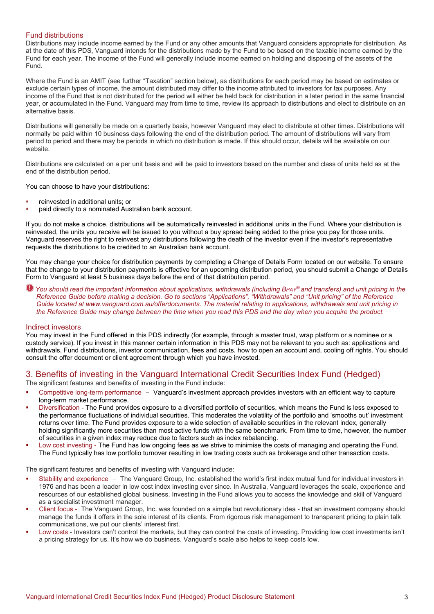#### Fund distributions

Distributions may include income earned by the Fund or any other amounts that Vanguard considers appropriate for distribution. As at the date of this PDS, Vanguard intends for the distributions made by the Fund to be based on the taxable income earned by the Fund for each year. The income of the Fund will generally include income earned on holding and disposing of the assets of the Fund.

Where the Fund is an AMIT (see further "Taxation" section below), as distributions for each period may be based on estimates or exclude certain types of income, the amount distributed may differ to the income attributed to investors for tax purposes. Any income of the Fund that is not distributed for the period will either be held back for distribution in a later period in the same financial year, or accumulated in the Fund. Vanguard may from time to time, review its approach to distributions and elect to distribute on an alternative basis.

Distributions will generally be made on a quarterly basis, however Vanguard may elect to distribute at other times. Distributions will normally be paid within 10 business days following the end of the distribution period. The amount of distributions will vary from period to period and there may be periods in which no distribution is made. If this should occur, details will be available on our website.

Distributions are calculated on a per unit basis and will be paid to investors based on the number and class of units held as at the end of the distribution period.

You can choose to have your distributions:

- reinvested in additional units; or
- paid directly to a nominated Australian bank account.

If you do not make a choice, distributions will be automatically reinvested in additional units in the Fund. Where your distribution is reinvested, the units you receive will be issued to you without a buy spread being added to the price you pay for those units. Vanguard reserves the right to reinvest any distributions following the death of the investor even if the investor's representative requests the distributions to be credited to an Australian bank account.

You may change your choice for distribution payments by completing a Change of Details Form located on our website. To ensure that the change to your distribution payments is effective for an upcoming distribution period, you should submit a Change of Details Form to Vanguard at least 5 business days before the end of that distribution period.

*You should read the important information about applications, withdrawals (including BPAY® and transfers) and unit pricing in the Reference Guide before making a decision. Go to sections "Applications", "Withdrawals" and "Unit pricing" of the Reference Guide located at www.vanguard.com.au/offerdocuments. The material relating to applications, withdrawals and unit pricing in the Reference Guide may change between the time when you read this PDS and the day when you acquire the product.*

#### Indirect investors

You may invest in the Fund offered in this PDS indirectly (for example, through a master trust, wrap platform or a nominee or a custody service). If you invest in this manner certain information in this PDS may not be relevant to you such as: applications and withdrawals, Fund distributions, investor communication, fees and costs, how to open an account and, cooling off rights. You should consult the offer document or client agreement through which you have invested.

# 3. Benefits of investing in the Vanguard International Credit Securities Index Fund (Hedged)

The significant features and benefits of investing in the Fund include:

- Competitive long-term performance Vanguard's investment approach provides investors with an efficient way to capture long-term market performance.
- Diversification The Fund provides exposure to a diversified portfolio of securities, which means the Fund is less exposed to the performance fluctuations of individual securities. This moderates the volatility of the portfolio and 'smooths out' investment returns over time. The Fund provides exposure to a wide selection of available securities in the relevant index, generally holding significantly more securities than most active funds with the same benchmark. From time to time, however, the number of securities in a given index may reduce due to factors such as index rebalancing.
- Low cost investing The Fund has low ongoing fees as we strive to minimise the costs of managing and operating the Fund. The Fund typically has low portfolio turnover resulting in low trading costs such as brokerage and other transaction costs.

The significant features and benefits of investing with Vanguard include:

- Stability and experience The Vanguard Group, Inc. established the world's first index mutual fund for individual investors in 1976 and has been a leader in low cost index investing ever since. In Australia, Vanguard leverages the scale, experience and resources of our established global business. Investing in the Fund allows you to access the knowledge and skill of Vanguard as a specialist investment manager.
- Client focus The Vanguard Group, Inc. was founded on a simple but revolutionary idea that an investment company should manage the funds it offers in the sole interest of its clients. From rigorous risk management to transparent pricing to plain talk communications, we put our clients' interest first.
- Low costs Investors can't control the markets, but they can control the costs of investing. Providing low cost investments isn't a pricing strategy for us. It's how we do business. Vanguard's scale also helps to keep costs low.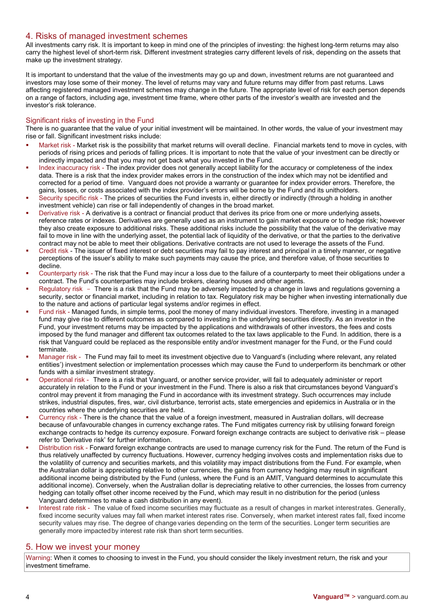# 4. Risks of managed investment schemes

All investments carry risk. It is important to keep in mind one of the principles of investing: the highest long-term returns may also carry the highest level of short-term risk. Different investment strategies carry different levels of risk, depending on the assets that make up the investment strategy.

It is important to understand that the value of the investments may go up and down, investment returns are not guaranteed and investors may lose some of their money. The level of returns may vary and future returns may differ from past returns. Laws affecting registered managed investment schemes may change in the future. The appropriate level of risk for each person depends on a range of factors, including age, investment time frame, where other parts of the investor's wealth are invested and the investor's risk tolerance.

## Significant risks of investing in the Fund

There is no guarantee that the value of your initial investment will be maintained. In other words, the value of your investment may rise or fall. Significant investment risks include:

- Market risk Market risk is the possibility that market returns will overall decline. Financial markets tend to move in cycles, with periods of rising prices and periods of falling prices. It is important to note that the value of your investment can be directly or indirectly impacted and that you may not get back what you invested in the Fund.
- Index inaccuracy risk The index provider does not generally accept liability for the accuracy or completeness of the index data. There is a risk that the index provider makes errors in the construction of the index which may not be identified and corrected for a period of time. Vanguard does not provide a warranty or guarantee for index provider errors. Therefore, the gains, losses, or costs associated with the index provider's errors will be borne by the Fund and its unitholders.
- Security specific risk The prices of securities the Fund invests in, either directly or indirectly (through a holding in another investment vehicle) can rise or fall independently of changes in the broad market.
- Derivative risk A derivative is a contract or financial product that derives its price from one or more underlying assets, reference rates or indexes. Derivatives are generally used as an instrument to gain market exposure or to hedge risk; however they also create exposure to additional risks. These additional risks include the possibility that the value of the derivative may fail to move in line with the underlying asset, the potential lack of liquidity of the derivative, or that the parties to the derivative contract may not be able to meet their obligations. Derivative contracts are not used to leverage the assets of the Fund.
- Credit risk The issuer of fixed interest or debt securities may fail to pay interest and principal in a timely manner, or negative perceptions of the issuer's ability to make such payments may cause the price, and therefore value, of those securities to decline.
- Counterparty risk The risk that the Fund may incur a loss due to the failure of a counterparty to meet their obligations under a contract. The Fund's counterparties may include brokers, clearing houses and other agents.
- Regulatory risk There is a risk that the Fund may be adversely impacted by a change in laws and regulations governing a security, sector or financial market, including in relation to tax. Regulatory risk may be higher when investing internationally due to the nature and actions of particular legal systems and/or regimes in effect.
- Fund risk Managed funds, in simple terms, pool the money of many individual investors. Therefore, investing in a managed fund may give rise to different outcomes as compared to investing in the underlying securities directly. As an investor in the Fund, your investment returns may be impacted by the applications and withdrawals of other investors, the fees and costs imposed by the fund manager and different tax outcomes related to the tax laws applicable to the Fund. In addition, there is a risk that Vanguard could be replaced as the responsible entity and/or investment manager for the Fund, or the Fund could terminate.
- Manager risk The Fund may fail to meet its investment objective due to Vanguard's (including where relevant, any related entities') investment selection or implementation processes which may cause the Fund to underperform its benchmark or other funds with a similar investment strategy.
- Operational risk There is a risk that Vanguard, or another service provider, will fail to adequately administer or report accurately in relation to the Fund or your investment in the Fund. There is also a risk that circumstances beyond Vanguard's control may prevent it from managing the Fund in accordance with its investment strategy. Such occurrences may include strikes, industrial disputes, fires, war, civil disturbance, terrorist acts, state emergencies and epidemics in Australia or in the countries where the underlying securities are held.
- Currency risk There is the chance that the value of a foreign investment, measured in Australian dollars, will decrease because of unfavourable changes in currency exchange rates. The Fund mitigates currency risk by utilising forward foreign exchange contracts to hedge its currency exposure. Forward foreign exchange contracts are subject to derivative risk – please refer to 'Derivative risk' for further information.
- Distribution risk Forward foreign exchange contracts are used to manage currency risk for the Fund. The return of the Fund is thus relatively unaffected by currency fluctuations. However, currency hedging involves costs and implementation risks due to the volatility of currency and securities markets, and this volatility may impact distributions from the Fund. For example, when the Australian dollar is appreciating relative to other currencies, the gains from currency hedging may result in significant additional income being distributed by the Fund (unless, where the Fund is an AMIT, Vanguard determines to accumulate this additional income). Conversely, when the Australian dollar is depreciating relative to other currencies, the losses from currency hedging can totally offset other income received by the Fund, which may result in no distribution for the period (unless Vanguard determines to make a cash distribution in any event).
- Interest rate risk The value of fixed income securities may fluctuate as a result of changes in market interestrates. Generally, fixed income security values may fall when market interest rates rise. Conversely, when market interest rates fall, fixed income security values may rise. The degree of change varies depending on the term of the securities. Longer term securities are generally more impacted by interest rate risk than short term securities.

# 5. How we invest your money

Warning: When it comes to choosing to invest in the Fund, you should consider the likely investment return, the risk and your investment timeframe.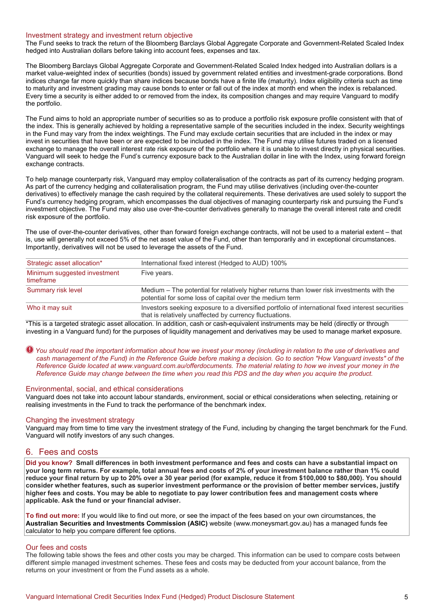## Investment strategy and investment return objective

The Fund seeks to track the return of the Bloomberg Barclays Global Aggregate Corporate and Government-Related Scaled Index hedged into Australian dollars before taking into account fees, expenses and tax.

The Bloomberg Barclays Global Aggregate Corporate and Government-Related Scaled Index hedged into Australian dollars is a market value-weighted index of securities (bonds) issued by government related entities and investment-grade corporations. Bond indices change far more quickly than share indices because bonds have a finite life (maturity). Index eligibility criteria such as time to maturity and investment grading may cause bonds to enter or fall out of the index at month end when the index is rebalanced. Every time a security is either added to or removed from the index, its composition changes and may require Vanguard to modify the portfolio.

The Fund aims to hold an appropriate number of securities so as to produce a portfolio risk exposure profile consistent with that of the index. This is generally achieved by holding a representative sample of the securities included in the index. Security weightings in the Fund may vary from the index weightings. The Fund may exclude certain securities that are included in the index or may invest in securities that have been or are expected to be included in the index. The Fund may utilise futures traded on a licensed exchange to manage the overall interest rate risk exposure of the portfolio where it is unable to invest directly in physical securities. Vanguard will seek to hedge the Fund's currency exposure back to the Australian dollar in line with the Index, using forward foreign exchange contracts.

To help manage counterparty risk, Vanguard may employ collateralisation of the contracts as part of its currency hedging program. As part of the currency hedging and collateralisation program, the Fund may utilise derivatives (including over-the-counter derivatives) to effectively manage the cash required by the collateral requirements. These derivatives are used solely to support the Fund's currency hedging program, which encompasses the dual objectives of managing counterparty risk and pursuing the Fund's investment objective. The Fund may also use over-the-counter derivatives generally to manage the overall interest rate and credit risk exposure of the portfolio.

The use of over-the-counter derivatives, other than forward foreign exchange contracts, will not be used to a material extent – that is, use will generally not exceed 5% of the net asset value of the Fund, other than temporarily and in exceptional circumstances. Importantly, derivatives will not be used to leverage the assets of the Fund.

| Strategic asset allocation*               | International fixed interest (Hedged to AUD) 100%                                                                                                           |  |
|-------------------------------------------|-------------------------------------------------------------------------------------------------------------------------------------------------------------|--|
| Minimum suggested investment<br>timeframe | Five years.                                                                                                                                                 |  |
| Summary risk level                        | Medium – The potential for relatively higher returns than lower risk investments with the<br>potential for some loss of capital over the medium term        |  |
| Who it may suit                           | Investors seeking exposure to a diversified portfolio of international fixed interest securities<br>that is relatively unaffected by currency fluctuations. |  |

\*This is a targeted strategic asset allocation. In addition, cash or cash-equivalent instruments may be held (directly or through investing in a Vanguard fund) for the purposes of liquidity management and derivatives may be used to manage market exposure.

*You should read the important information about how we invest your money (including in relation to the use of derivatives and cash management of the Fund) in the Reference Guide before making a decision. Go to section "How Vanguard invests" of the Reference Guide located at www.vanguard.com.au/offerdocuments. The material relating to how we invest your money in the Reference Guide may change between the time when you read this PDS and the day when you acquire the product.* 

#### Environmental, social, and ethical considerations

Vanguard does not take into account labour standards, environment, social or ethical considerations when selecting, retaining or realising investments in the Fund to track the performance of the benchmark index.

#### Changing the investment strategy

Vanguard may from time to time vary the investment strategy of the Fund, including by changing the target benchmark for the Fund. Vanguard will notify investors of any such changes.

#### 6. Fees and costs

**Did you know? Small differences in both investment performance and fees and costs can have a substantial impact on your long term returns. For example, total annual fees and costs of 2% of your investment balance rather than 1% could reduce your final return by up to 20% over a 30 year period (for example, reduce it from \$100,000 to \$80,000). You should consider whether features, such as superior investment performance or the provision of better member services, justify higher fees and costs. You may be able to negotiate to pay lower contribution fees and management costs where applicable. Ask the fund or your financial adviser.**

**To find out more:** If you would like to find out more, or see the impact of the fees based on your own circumstances, the **Australian Securities and Investments Commission (ASIC)** website (www.moneysmart.gov.au) has a managed funds fee calculator to help you compare different fee options.

#### Our fees and costs

The following table shows the fees and other costs you may be charged. This information can be used to compare costs between different simple managed investment schemes. These fees and costs may be deducted from your account balance, from the returns on your investment or from the Fund assets as a whole.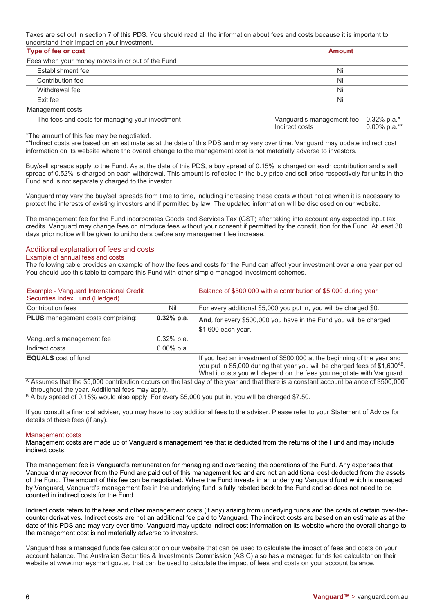Taxes are set out in section 7 of this PDS. You should read all the information about fees and costs because it is important to understand their impact on your investment.

| Type of fee or cost                              | <b>Amount</b>                                                                 |  |
|--------------------------------------------------|-------------------------------------------------------------------------------|--|
| Fees when your money moves in or out of the Fund |                                                                               |  |
| Establishment fee                                | Nil                                                                           |  |
| Contribution fee                                 | Nil                                                                           |  |
| Withdrawal fee                                   | Nil                                                                           |  |
| Exit fee                                         | Nil                                                                           |  |
| Management costs                                 |                                                                               |  |
| The fees and costs for managing your investment  | Vanguard's management fee<br>0.32% p.a.*<br>$0.00\%$ p.a.**<br>Indirect costs |  |

\*The amount of this fee may be negotiated.

\*\*Indirect costs are based on an estimate as at the date of this PDS and may vary over time. Vanguard may update indirect cost information on its website where the overall change to the management cost is not materially adverse to investors.

Buy/sell spreads apply to the Fund. As at the date of this PDS, a buy spread of 0.15% is charged on each contribution and a sell spread of 0.52% is charged on each withdrawal. This amount is reflected in the buy price and sell price respectively for units in the Fund and is not separately charged to the investor.

Vanguard may vary the buy/sell spreads from time to time, including increasing these costs without notice when it is necessary to protect the interests of existing investors and if permitted by law. The updated information will be disclosed on our website.

The management fee for the Fund incorporates Goods and Services Tax (GST) after taking into account any expected input tax credits. Vanguard may change fees or introduce fees without your consent if permitted by the constitution for the Fund. At least 30 days prior notice will be given to unitholders before any management fee increase.

## Additional explanation of fees and costs

#### Example of annual fees and costs

The following table provides an example of how the fees and costs for the Fund can affect your investment over a one year period. You should use this table to compare this Fund with other simple managed investment schemes.

| Example - Vanguard International Credit<br>Securities Index Fund (Hedged) |               | Balance of \$500,000 with a contribution of \$5,000 during year                                                                                                                                                                             |
|---------------------------------------------------------------------------|---------------|---------------------------------------------------------------------------------------------------------------------------------------------------------------------------------------------------------------------------------------------|
| Contribution fees                                                         | Nil           | For every additional \$5,000 you put in, you will be charged \$0.                                                                                                                                                                           |
| <b>PLUS</b> management costs comprising:                                  | $0.32%$ p.a.  | And, for every \$500,000 you have in the Fund you will be charged<br>\$1,600 each year.                                                                                                                                                     |
| Vanguard's management fee                                                 | $0.32\%$ p.a. |                                                                                                                                                                                                                                             |
| Indirect costs                                                            | $0.00\%$ p.a. |                                                                                                                                                                                                                                             |
| <b>EQUALS</b> cost of fund                                                |               | If you had an investment of \$500,000 at the beginning of the year and<br>you put in \$5,000 during that year you will be charged fees of \$1,600 <sup>AB</sup> .<br>What it costs you will depend on the fees you negotiate with Vanguard. |

<sup>A</sup> Assumes that the \$5,000 contribution occurs on the last day of the year and that there is a constant account balance of \$500,000 throughout the year. Additional fees may apply.

B A buy spread of 0.15% would also apply. For every \$5,000 you put in, you will be charged \$7.50.

If you consult a financial adviser, you may have to pay additional fees to the adviser. Please refer to your Statement of Advice for details of these fees (if any).

#### Management costs

Management costs are made up of Vanguard's management fee that is deducted from the returns of the Fund and may include indirect costs.

The management fee is Vanguard's remuneration for managing and overseeing the operations of the Fund. Any expenses that Vanguard may recover from the Fund are paid out of this management fee and are not an additional cost deducted from the assets of the Fund. The amount of this fee can be negotiated. Where the Fund invests in an underlying Vanguard fund which is managed by Vanguard, Vanguard's management fee in the underlying fund is fully rebated back to the Fund and so does not need to be counted in indirect costs for the Fund.

Indirect costs refers to the fees and other management costs (if any) arising from underlying funds and the costs of certain over-thecounter derivatives. Indirect costs are not an additional fee paid to Vanguard. The indirect costs are based on an estimate as at the date of this PDS and may vary over time. Vanguard may update indirect cost information on its website where the overall change to the management cost is not materially adverse to investors.

Vanguard has a managed funds fee calculator on our website that can be used to calculate the impact of fees and costs on your account balance. The Australian Securities & Investments Commission (ASIC) also has a managed funds fee calculator on their website at www.moneysmart.gov.au that can be used to calculate the impact of fees and costs on your account balance.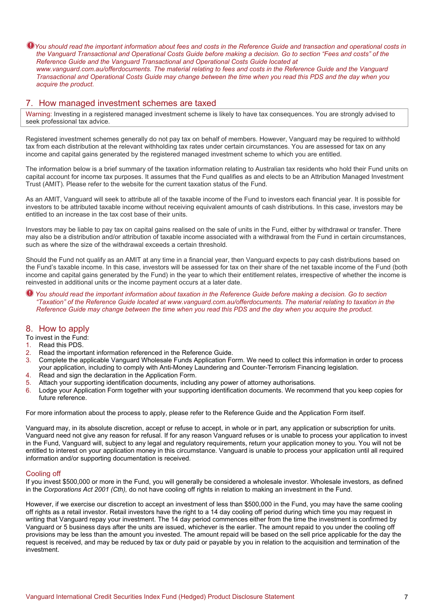$\bullet$  You should read the important information about fees and costs in the Reference Guide and transaction and operational costs in *the Vanguard Transactional and Operational Costs Guide before making a decision. Go to section "Fees and costs" of the Reference Guide and the Vanguard Transactional and Operational Costs Guide located at www.vanguard.com.au/offerdocuments. The material relating to fees and costs in the Reference Guide and the Vanguard Transactional and Operational Costs Guide may change between the time when you read this PDS and the day when you acquire the product.*

# 7. How managed investment schemes are taxed

Warning: Investing in a registered managed investment scheme is likely to have tax consequences. You are strongly advised to seek professional tax advice.

Registered investment schemes generally do not pay tax on behalf of members. However, Vanguard may be required to withhold tax from each distribution at the relevant withholding tax rates under certain circumstances. You are assessed for tax on any income and capital gains generated by the registered managed investment scheme to which you are entitled.

The information below is a brief summary of the taxation information relating to Australian tax residents who hold their Fund units on capital account for income tax purposes. It assumes that the Fund qualifies as and elects to be an Attribution Managed Investment Trust (AMIT). Please refer to the website for the current taxation status of the Fund.

As an AMIT, Vanguard will seek to attribute all of the taxable income of the Fund to investors each financial year. It is possible for investors to be attributed taxable income without receiving equivalent amounts of cash distributions. In this case, investors may be entitled to an increase in the tax cost base of their units.

Investors may be liable to pay tax on capital gains realised on the sale of units in the Fund, either by withdrawal or transfer. There may also be a distribution and/or attribution of taxable income associated with a withdrawal from the Fund in certain circumstances, such as where the size of the withdrawal exceeds a certain threshold.

Should the Fund not qualify as an AMIT at any time in a financial year, then Vanguard expects to pay cash distributions based on the Fund's taxable income. In this case, investors will be assessed for tax on their share of the net taxable income of the Fund (both income and capital gains generated by the Fund) in the year to which their entitlement relates, irrespective of whether the income is reinvested in additional units or the income payment occurs at a later date.

*You should read the important information about taxation in the Reference Guide before making a decision. Go to section "Taxation" of the Reference Guide located at [www.vanguard.com.au/offerdocuments.](http://www.vanguard.com.au/referenceguide) The material relating to taxation in the Reference Guide may change between the time when you read this PDS and the day when you acquire the product.* 

# 8. How to apply

To invest in the Fund:

- 1. Read this PDS.
- 2. Read the important information referenced in the Reference Guide.
- 3. Complete the applicable Vanguard Wholesale Funds Application Form. We need to collect this information in order to process your application, including to comply with Anti-Money Laundering and Counter-Terrorism Financing legislation.
- 4. Read and sign the declaration in the Application Form.
- 5. Attach your supporting identification documents, including any power of attorney authorisations.
- 6. Lodge your Application Form together with your supporting identification documents. We recommend that you keep copies for future reference.

For more information about the process to apply, please refer to the Reference Guide and the Application Form itself.

Vanguard may, in its absolute discretion, accept or refuse to accept, in whole or in part, any application or subscription for units. Vanguard need not give any reason for refusal. If for any reason Vanguard refuses or is unable to process your application to invest in the Fund, Vanguard will, subject to any legal and regulatory requirements, return your application money to you. You will not be entitled to interest on your application money in this circumstance. Vanguard is unable to process your application until all required information and/or supporting documentation is received.

## Cooling off

If you invest \$500,000 or more in the Fund, you will generally be considered a wholesale investor. Wholesale investors, as defined in the *Corporations Act 2001 (Cth),* do not have cooling off rights in relation to making an investment in the Fund.

However, if we exercise our discretion to accept an investment of less than \$500,000 in the Fund, you may have the same cooling off rights as a retail investor. Retail investors have the right to a 14 day cooling off period during which time you may request in writing that Vanguard repay your investment. The 14 day period commences either from the time the investment is confirmed by Vanguard or 5 business days after the units are issued, whichever is the earlier. The amount repaid to you under the cooling off provisions may be less than the amount you invested. The amount repaid will be based on the sell price applicable for the day the request is received, and may be reduced by tax or duty paid or payable by you in relation to the acquisition and termination of the investment.